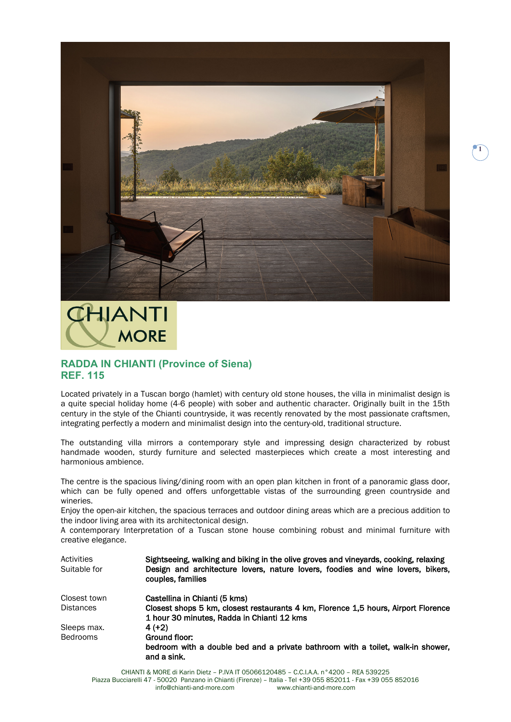

## **CHIANTI MORE**

## **RADDA IN CHIANTI (Province of Siena) REF. 115**

Located privately in a Tuscan borgo (hamlet) with century old stone houses, the villa in minimalist design is a quite special holiday home (4-6 people) with sober and authentic character. Originally built in the 15th century in the style of the Chianti countryside, it was recently renovated by the most passionate craftsmen, integrating perfectly a modern and minimalist design into the century-old, traditional structure.

The outstanding villa mirrors a contemporary style and impressing design characterized by robust handmade wooden, sturdy furniture and selected masterpieces which create a most interesting and harmonious ambience.

The centre is the spacious living/dining room with an open plan kitchen in front of a panoramic glass door, which can be fully opened and offers unforgettable vistas of the surrounding green countryside and wineries.

Enjoy the open-air kitchen, the spacious terraces and outdoor dining areas which are a precious addition to the indoor living area with its architectonical design.

A contemporary Interpretation of a Tuscan stone house combining robust and minimal furniture with creative elegance.

| Activities<br>Suitable for | Sightseeing, walking and biking in the olive groves and vineyards, cooking, relaxing<br>Design and architecture lovers, nature lovers, foodies and wine lovers, bikers,<br>couples, families |
|----------------------------|----------------------------------------------------------------------------------------------------------------------------------------------------------------------------------------------|
| Closest town               | Castellina in Chianti (5 kms)                                                                                                                                                                |
| <b>Distances</b>           | Closest shops 5 km, closest restaurants 4 km, Florence 1,5 hours, Airport Florence<br>1 hour 30 minutes, Radda in Chianti 12 kms                                                             |
| Sleeps max.                | $4(+2)$                                                                                                                                                                                      |
| <b>Bedrooms</b>            | Ground floor:                                                                                                                                                                                |
|                            | bedroom with a double bed and a private bathroom with a toilet, walk-in shower,<br>and a sink.                                                                                               |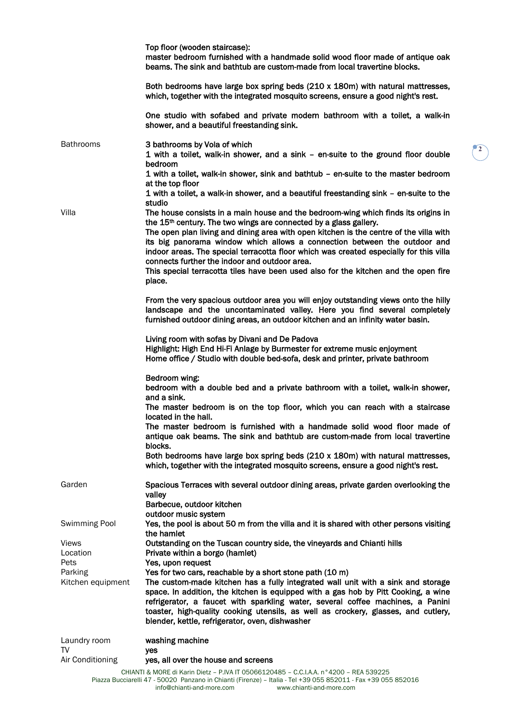|                    | Top floor (wooden staircase):<br>master bedroom furnished with a handmade solid wood floor made of antique oak<br>beams. The sink and bathtub are custom-made from local travertine blocks.                                                                                                                                                                                                                                                                                                                                                                                            |  |  |  |  |
|--------------------|----------------------------------------------------------------------------------------------------------------------------------------------------------------------------------------------------------------------------------------------------------------------------------------------------------------------------------------------------------------------------------------------------------------------------------------------------------------------------------------------------------------------------------------------------------------------------------------|--|--|--|--|
|                    | Both bedrooms have large box spring beds (210 x 180m) with natural mattresses,<br>which, together with the integrated mosquito screens, ensure a good night's rest.                                                                                                                                                                                                                                                                                                                                                                                                                    |  |  |  |  |
|                    | One studio with sofabed and private modern bathroom with a toilet, a walk-in<br>shower, and a beautiful freestanding sink.                                                                                                                                                                                                                                                                                                                                                                                                                                                             |  |  |  |  |
| <b>Bathrooms</b>   | 3 bathrooms by Vola of which<br>1 with a toilet, walk-in shower, and a sink – en-suite to the ground floor double<br>bedroom<br>1 with a toilet, walk-in shower, sink and bathtub - en-suite to the master bedroom                                                                                                                                                                                                                                                                                                                                                                     |  |  |  |  |
|                    | at the top floor<br>1 with a toilet, a walk-in shower, and a beautiful freestanding sink - en-suite to the<br>studio                                                                                                                                                                                                                                                                                                                                                                                                                                                                   |  |  |  |  |
| Villa              | The house consists in a main house and the bedroom-wing which finds its origins in<br>the 15 <sup>th</sup> century. The two wings are connected by a glass gallery.<br>The open plan living and dining area with open kitchen is the centre of the villa with<br>its big panorama window which allows a connection between the outdoor and<br>indoor areas. The special terracotta floor which was created especially for this villa<br>connects further the indoor and outdoor area.<br>This special terracotta tiles have been used also for the kitchen and the open fire<br>place. |  |  |  |  |
|                    | From the very spacious outdoor area you will enjoy outstanding views onto the hilly<br>landscape and the uncontaminated valley. Here you find several completely<br>furnished outdoor dining areas, an outdoor kitchen and an infinity water basin.                                                                                                                                                                                                                                                                                                                                    |  |  |  |  |
|                    | Living room with sofas by Divani and De Padova<br>Highlight: High End Hi-Fi Anlage by Burmester for extreme music enjoyment<br>Home office / Studio with double bed-sofa, desk and printer, private bathroom                                                                                                                                                                                                                                                                                                                                                                           |  |  |  |  |
|                    | Bedroom wing:<br>bedroom with a double bed and a private bathroom with a toilet, walk-in shower,<br>and a sink.                                                                                                                                                                                                                                                                                                                                                                                                                                                                        |  |  |  |  |
|                    | The master bedroom is on the top floor, which you can reach with a staircase                                                                                                                                                                                                                                                                                                                                                                                                                                                                                                           |  |  |  |  |
|                    | located in the hall.<br>The master bedroom is furnished with a handmade solid wood floor made of<br>antique oak beams. The sink and bathtub are custom-made from local travertine<br>blocks.                                                                                                                                                                                                                                                                                                                                                                                           |  |  |  |  |
|                    | Both bedrooms have large box spring beds (210 x 180m) with natural mattresses,<br>which, together with the integrated mosquito screens, ensure a good night's rest.                                                                                                                                                                                                                                                                                                                                                                                                                    |  |  |  |  |
| Garden             | Spacious Terraces with several outdoor dining areas, private garden overlooking the<br>valley<br>Barbecue, outdoor kitchen                                                                                                                                                                                                                                                                                                                                                                                                                                                             |  |  |  |  |
| Swimming Pool      | outdoor music system<br>Yes, the pool is about 50 m from the villa and it is shared with other persons visiting<br>the hamlet                                                                                                                                                                                                                                                                                                                                                                                                                                                          |  |  |  |  |
| <b>Views</b>       | Outstanding on the Tuscan country side, the vineyards and Chianti hills                                                                                                                                                                                                                                                                                                                                                                                                                                                                                                                |  |  |  |  |
| Location           | Private within a borgo (hamlet)                                                                                                                                                                                                                                                                                                                                                                                                                                                                                                                                                        |  |  |  |  |
| Pets<br>Parking    | Yes, upon request<br>Yes for two cars, reachable by a short stone path (10 m)                                                                                                                                                                                                                                                                                                                                                                                                                                                                                                          |  |  |  |  |
| Kitchen equipment  | The custom-made kitchen has a fully integrated wall unit with a sink and storage<br>space. In addition, the kitchen is equipped with a gas hob by Pitt Cooking, a wine<br>refrigerator, a faucet with sparkling water, several coffee machines, a Panini<br>toaster, high-quality cooking utensils, as well as crockery, glasses, and cutlery,<br>blender, kettle, refrigerator, oven, dishwasher                                                                                                                                                                                      |  |  |  |  |
| Laundry room<br>TV | washing machine<br>yes                                                                                                                                                                                                                                                                                                                                                                                                                                                                                                                                                                 |  |  |  |  |
| Air Conditioning   | yes, all over the house and screens                                                                                                                                                                                                                                                                                                                                                                                                                                                                                                                                                    |  |  |  |  |
|                    | CHIANTI & MORE di Karin Dietz - P.IVA IT 05066120485 - C.C.I.A.A. n°4200 - REA 539225<br>Piazza Bucciarelli 47 - 50020 Panzano in Chianti (Firenze) - Italia - Tel +39 055 852011 - Fax +39 055 852016<br>info@chianti-and-more.com<br>www.chianti-and-more.com                                                                                                                                                                                                                                                                                                                        |  |  |  |  |

**2**